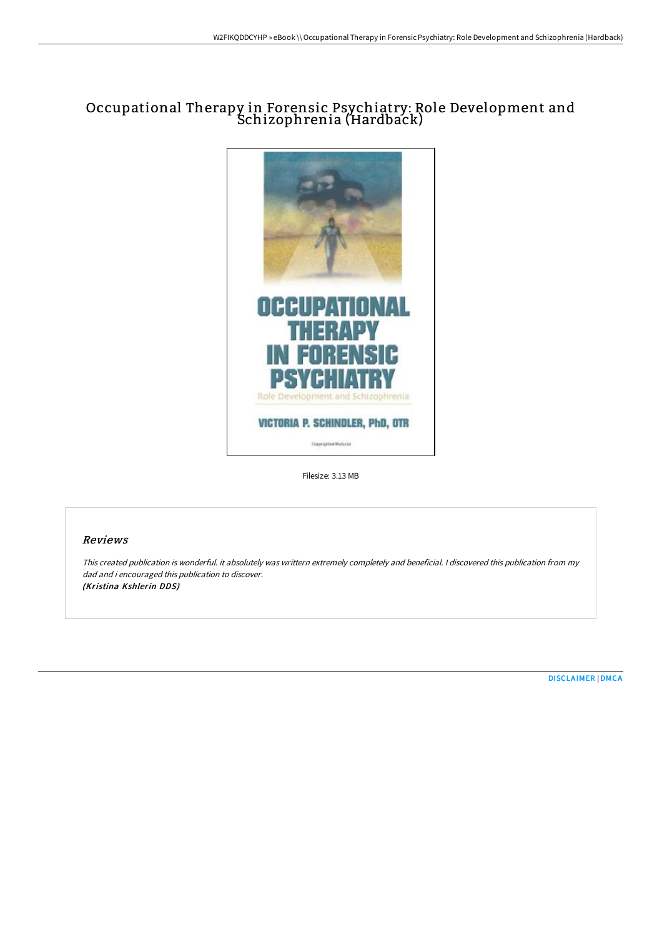## Occupational Therapy in Forensic Psychiatry: Role Development and Schizophrenia (Hardback)



Filesize: 3.13 MB

## Reviews

This created publication is wonderful. it absolutely was writtern extremely completely and beneficial. I discovered this publication from my dad and i encouraged this publication to discover. (Kristina Kshlerin DDS)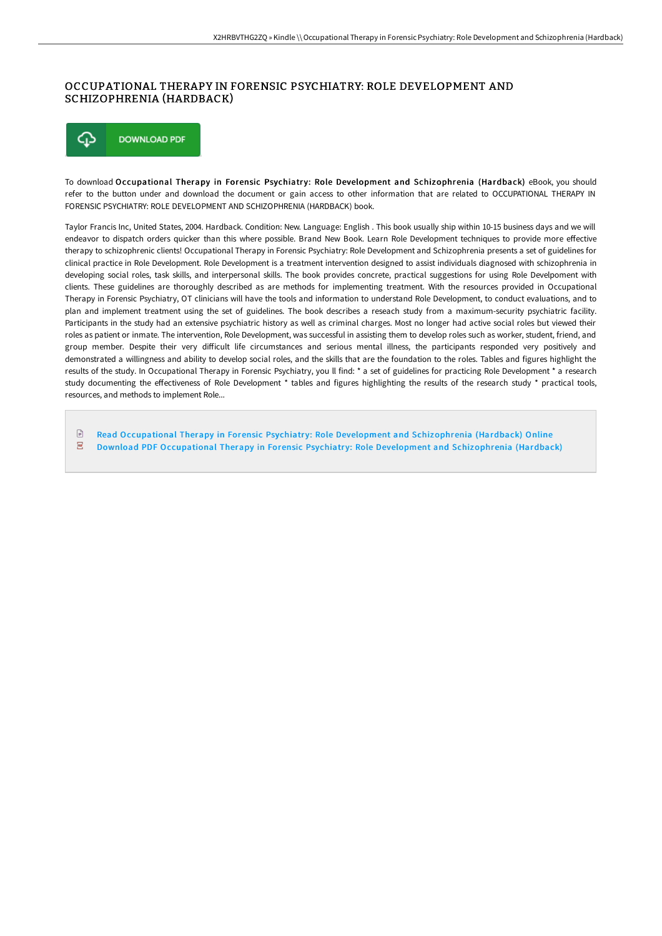## OCCUPATIONAL THERAPY IN FORENSIC PSYCHIATRY: ROLE DEVELOPMENT AND SCHIZOPHRENIA (HARDBACK)

⊕ **DOWNLOAD PDF** 

To download Occupational Therapy in Forensic Psychiatry: Role Development and Schizophrenia (Hardback) eBook, you should refer to the button under and download the document or gain access to other information that are related to OCCUPATIONAL THERAPY IN FORENSIC PSYCHIATRY: ROLE DEVELOPMENT AND SCHIZOPHRENIA (HARDBACK) book.

Taylor Francis Inc, United States, 2004. Hardback. Condition: New. Language: English . This book usually ship within 10-15 business days and we will endeavor to dispatch orders quicker than this where possible. Brand New Book. Learn Role Development techniques to provide more effective therapy to schizophrenic clients! Occupational Therapy in Forensic Psychiatry: Role Development and Schizophrenia presents a set of guidelines for clinical practice in Role Development. Role Development is a treatment intervention designed to assist individuals diagnosed with schizophrenia in developing social roles, task skills, and interpersonal skills. The book provides concrete, practical suggestions for using Role Develpoment with clients. These guidelines are thoroughly described as are methods for implementing treatment. With the resources provided in Occupational Therapy in Forensic Psychiatry, OT clinicians will have the tools and information to understand Role Development, to conduct evaluations, and to plan and implement treatment using the set of guidelines. The book describes a reseach study from a maximum-security psychiatric facility. Participants in the study had an extensive psychiatric history as well as criminal charges. Most no longer had active social roles but viewed their roles as patient or inmate. The intervention, Role Development, was successful in assisting them to develop roles such as worker, student, friend, and group member. Despite their very difficult life circumstances and serious mental illness, the participants responded very positively and demonstrated a willingness and ability to develop social roles, and the skills that are the foundation to the roles. Tables and figures highlight the results of the study. In Occupational Therapy in Forensic Psychiatry, you ll find: \* a set of guidelines for practicing Role Development \* a research study documenting the effectiveness of Role Development \* tables and figures highlighting the results of the research study \* practical tools, resources, and methods to implement Role...

 $\mathbb{R}$ Read Occupational Therapy in Forensic Psychiatry: Role Development and [Schizophrenia](http://bookera.tech/occupational-therapy-in-forensic-psychiatry-role-1.html) (Hardback) Online  $\overline{\phantom{a}}$ Download PDF Occupational Therapy in Forensic Psychiatry: Role Development and [Schizophrenia](http://bookera.tech/occupational-therapy-in-forensic-psychiatry-role-1.html) (Hardback)